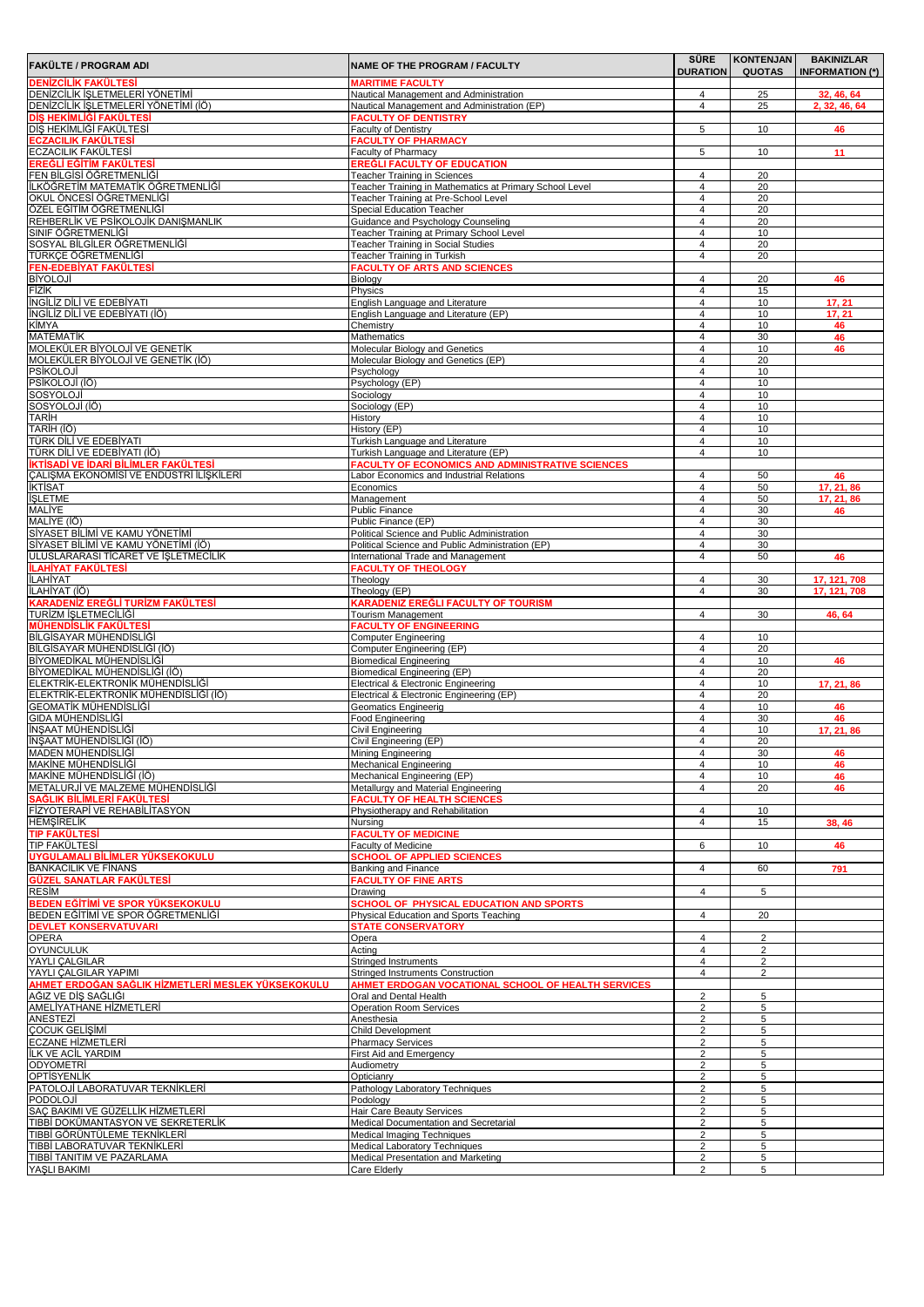| FAKÜLTE / PROGRAM ADI                                                            | <b>NAME OF THE PROGRAM / FACULTY</b>                                                                | SÜRE<br><b>DURATION</b>          | <b>KONTENJAN</b><br><b>QUOTAS</b> | <b>BAKINIZLAR</b><br><b>INFORMATION (*)</b> |
|----------------------------------------------------------------------------------|-----------------------------------------------------------------------------------------------------|----------------------------------|-----------------------------------|---------------------------------------------|
| <b>DENIZCİLİK FAKÜLTESİ</b><br>DENİZCİLİK İŞLETMELERİ YÖNETİMİ                   | <b>MARITIME FACULTY</b><br>Nautical Management and Administration                                   | 4                                | 25                                | 32, 46, 64                                  |
| DENİZCİLİK İSLETMELERİ YÖNETİMİ (İÖ)                                             | Nautical Management and Administration (EP)                                                         | $\overline{4}$                   | 25                                | 2, 32, 46, 64                               |
| <u>DİŞ HEKİMLİĞİ FAKÜLTESİ</u>                                                   | <b>FACULTY OF DENTISTRY</b>                                                                         |                                  |                                   |                                             |
| DİŞ HEKİMLİĞİ FAKÜLTESİ<br><b>ECZACILIK FAKÜLTESİ</b>                            | <b>Faculty of Dentistry</b><br><b>FACULTY OF PHARMACY</b>                                           | 5                                | 10                                | 46                                          |
| ECZACILIK FAKÜLTESİ                                                              | Faculty of Pharmacy                                                                                 | 5                                | 10                                | 11                                          |
| <b>EREĞLİ EĞİTİM FAKÜLTESİ</b>                                                   | EREĞLI FACULTY OF EDUCATION                                                                         |                                  |                                   |                                             |
| FEN BİLGİSİ ÖĞRETMENLİĞİ<br>İLKÖĞRETİM MATEMATİK ÖĞRETMENLİĞİ                    | Teacher Training in Sciences<br>Teacher Training in Mathematics at Primary School Level             | 4<br>$\overline{4}$              | 20<br>20                          |                                             |
| OKUL ÖNCESİ ÖĞRETMENLİĞİ                                                         | Teacher Training at Pre-School Level                                                                | $\overline{4}$                   | 20                                |                                             |
| ÖZEL EĞİTİM ÖĞRETMENLİĞİ                                                         | Special Education Teacher                                                                           | $\overline{4}$                   | 20                                |                                             |
| REHBERLİK VE PSİKOLOJİK DANIŞMANLIK<br>SINIF ÖĞRETMENLİĞİ                        | Guidance and Psychology Counseling<br>Teacher Training at Primary School Level                      | 4<br>$\overline{4}$              | 20<br>10                          |                                             |
| SOSYAL BİLGİLER ÖĞRETMENLİĞİ                                                     | Teacher Training in Social Studies                                                                  | $\overline{4}$                   | 20                                |                                             |
| TÜRKÇE ÖĞRETMENLİĞİ                                                              | Teacher Training in Turkish                                                                         | $\overline{4}$                   | 20                                |                                             |
| FEN-EDEBİYAT FAKÜLTESİ<br>BİYOLOJİ                                               | <b>FACULTY OF ARTS AND SCIENCES</b><br>Biology                                                      | $\overline{4}$                   | 20                                | 46                                          |
| FİZİK                                                                            | Physics                                                                                             | $\overline{4}$                   | 15                                |                                             |
| INGILIZ DILI VE EDEBIYATI                                                        | English Language and Literature                                                                     | $\overline{4}$                   | 10                                | 17, 21                                      |
| İNGİLİZ DİLİ VE EDEBİYATI (İÖ)<br>KİMYA                                          | English Language and Literature (EP)<br>Chemistry                                                   | $\overline{4}$<br>$\overline{4}$ | 10<br>10                          | 17, 21<br>46                                |
| <b>MATEMATIK</b>                                                                 | Mathematics                                                                                         | $\overline{4}$                   | 30                                | 46                                          |
| MOLEKÜLER BİYOLOJİ VE GENETİK                                                    | Molecular Biology and Genetics                                                                      | $\overline{4}$                   | 10                                | 46                                          |
| MOLEKÜLER BİYOLOJİ VE GENETİK (İÖ)<br>PSİKOLOJİ                                  | Molecular Biology and Genetics (EP)<br>Psychology                                                   | $\overline{4}$<br>$\overline{4}$ | 20<br>10                          |                                             |
| PSİKOLOJİ (Ö)                                                                    | Psychology (EP)                                                                                     | $\overline{4}$                   | 10                                |                                             |
| SOSYOLOJİ                                                                        | Sociology                                                                                           | 4                                | 10                                |                                             |
| SOSYOLOJİ (İÖ)                                                                   | Sociology (EP)                                                                                      | $\overline{4}$                   | 10                                |                                             |
| TARİH<br>TARİH (İÖ)                                                              | History<br>History (EP)                                                                             | $\overline{4}$<br>$\overline{4}$ | 10<br>10                          |                                             |
| TÜRK DİLİ VE EDEBİYATI                                                           | Turkish Language and Literature                                                                     | $\overline{4}$                   | 10                                |                                             |
| TÜRK DİLİ VE EDEBİYATI (İÖ)                                                      | Turkish Language and Literature (EP)                                                                | 4                                | 10                                |                                             |
| İKTİSADİ VE İDARİ BİLİMLER FAKÜLTESİ<br>CALISMA EKONOMİSİ VE ENDÜSTRİ İLİŞKİLERİ | <b>FACULTY OF ECONOMICS AND ADMINISTRATIVE SCIENCES</b><br>Labor Economics and Industrial Relations | $\overline{4}$                   | 50                                | 46                                          |
| <b>İKTİSAT</b>                                                                   | Economics                                                                                           | $\overline{4}$                   | 50                                | 17, 21, 86                                  |
| <b>İŞLETME</b>                                                                   | Management                                                                                          | $\overline{4}$                   | 50                                | 17, 21, 86                                  |
| MALİYE<br>MALİYE (İÖ)                                                            | <b>Public Finance</b><br>Public Finance (EP)                                                        | $\overline{4}$<br>$\overline{4}$ | 30<br>30                          | 46                                          |
| SİYASET BİLİMİ VE KAMU YÖNETİMİ                                                  | Political Science and Public Administration                                                         | 4                                | 30                                |                                             |
| SİYASET BİLİMİ VE KAMU YÖNETİMİ (İÖ)                                             | Political Science and Public Administration (EP)                                                    | $\overline{4}$                   | 30                                |                                             |
| ULUSLARARASI TİCARET VE İŞLETMECİLİK<br>İLAHİYAT FAKÜLTESİ                       | International Trade and Management<br><b>FACULTY OF THEOLOGY</b>                                    | $\overline{4}$                   | 50                                | 46                                          |
| <b>İLAHİYAT</b>                                                                  | Theology                                                                                            | $\overline{4}$                   | 30                                | 17, 121, 708                                |
| İLAHİYAT (İÖ)                                                                    | Theology (EP)                                                                                       | $\overline{4}$                   | 30                                | 17, 121, 708                                |
| KARADENİZ EREĞLİ TURİZM FAKÜLTESİ<br>TURİZM İSLETMECİLİĞİ                        | KARADENIZ EREĞLI FACULTY OF TOURISM<br>Tourism Management                                           | $\overline{4}$                   | 30                                | 46.64                                       |
| <b>MÜHENDİSLİK FAKÜLTESİ</b>                                                     | <b>FACULTY OF ENGINEERING</b>                                                                       |                                  |                                   |                                             |
| BİLGİSAYAR MÜHENDİSLİĞİ                                                          | <b>Computer Engineering</b>                                                                         | $\overline{4}$                   | 10                                |                                             |
| BİLGİSAYAR MÜHENDİSLİĞİ (İÖ)<br>BİYOMEDİKAL MÜHENDİSLİĞİ                         | Computer Engineering (EP)<br><b>Biomedical Engineering</b>                                          | $\overline{4}$<br>$\overline{4}$ | 20<br>10                          | 46                                          |
| BİYOMEDİKAL MÜHENDİSLİĞİ (İÖ)                                                    | <b>Biomedical Engineering (EP)</b>                                                                  | 4                                | 20                                |                                             |
| ELEKTRİK-ELEKTRONİK MÜHENDİSLİĞİ                                                 | Electrical & Electronic Engineering                                                                 | $\overline{4}$                   | 10                                | 17, 21, 86                                  |
| ELEKTRİK-ELEKTRONİK MÜHENDİSLİĞİ (İÖ)<br>GEOMATİK MÜHENDİSLİĞİ                   | Electrical & Electronic Engineering (EP)<br>Geomatics Engineerig                                    | $\overline{4}$<br>$\overline{4}$ | 20<br>10                          | 46                                          |
| GIDA MÜHENDİSLİĞİ                                                                | Food Engineering                                                                                    | $\overline{4}$                   | 30                                | 46                                          |
| İNSAAT MÜHENDİSLİĞİ                                                              | Civil Engineering                                                                                   | $\overline{4}$                   | 10                                | 17, 21, 86                                  |
| İNSAAT MÜHENDİSLİĞİ (İÖ)<br>MADEN MUHENDISLIGI                                   | Civil Engineering (EP)<br>Mining Engineering                                                        | 4<br>4                           | 20<br>30                          | 46                                          |
| MAKİNE MÜHENDİSLİĞİ                                                              | <b>Mechanical Engineering</b>                                                                       | 4                                | 10                                | 46                                          |
| MAKİNE MÜHENDİSLİĞİ (İÖ)                                                         | Mechanical Engineering (EP)                                                                         | 4                                | 10                                | 46                                          |
| METALURJİ VE MALZEME MÜHENDİSLİĞİ<br>SAĞLIK BİLİMLERİ FAKÜLTESİ                  | Metallurgy and Material Engineering<br><b>FACULTY OF HEALTH SCIENCES</b>                            | 4                                | 20                                | 46                                          |
| FİZYOTERAPİ VE REHABİLİTASYON                                                    | Physiotherapy and Rehabilitation                                                                    | $\overline{4}$                   | 10                                |                                             |
| <b>HEMSIRELIK</b>                                                                | Nursing                                                                                             | $\overline{4}$                   | 15                                | 38, 46                                      |
| <b>TIP FAKÜLTESİ</b><br>TIP FAKÜLTESİ                                            | <b>FACULTY OF MEDICINE</b><br>Faculty of Medicine                                                   | 6                                | 10                                | 46                                          |
| UYGULAMALI BİLİMLER YÜKSEKOKULU                                                  | <b>SCHOOL OF APPLIED SCIENCES</b>                                                                   |                                  |                                   |                                             |
| <b>BANKACILIK VE FINANS</b>                                                      | Banking and Finance                                                                                 | 4                                | 60                                | 791                                         |
| <b>GÜZEL SANATLAR FAKÜLTESİ</b><br>RESİM                                         | <b>FACULTY OF FINE ARTS</b><br>Drawing                                                              | $\overline{4}$                   | 5                                 |                                             |
| BEDEN EĞİTİMİ VE SPOR YÜKSEKOKULU                                                | SCHOOL OF PHYSICAL EDUCATION AND SPORTS                                                             |                                  |                                   |                                             |
| BEDEN EĞİTİMİ VE SPOR ÖĞRETMENLİĞİ                                               | Physical Education and Sports Teaching                                                              | $\overline{4}$                   | 20                                |                                             |
| <b>DEVLET KONSERVATUVARI</b><br><b>OPERA</b>                                     | <b>STATE CONSERVATORY</b>                                                                           | 4                                | $\overline{2}$                    |                                             |
| <b>OYUNCULUK</b>                                                                 | Opera<br>Acting                                                                                     | 4                                | 2                                 |                                             |
| YAYLI CALGILAR                                                                   | <b>Stringed Instruments</b>                                                                         | $\overline{4}$                   | 2                                 |                                             |
| YAYLI CALGILAR YAPIMI<br>AHMET ERDOĞAN SAĞLIK HİZMETLERİ MESLEK YÜKSEKOKULU      | <b>Stringed Instruments Construction</b><br>AHMET ERDOGAN VOCATIONAL SCHOOL OF HEALTH SERVICES      | 4                                | 2                                 |                                             |
| AĞIZ VE DİŞ SAĞLIĞI                                                              | Oral and Dental Health                                                                              | 2                                | 5                                 |                                             |
| AMELİYATHANE HİZMETLERİ                                                          | <b>Operation Room Services</b>                                                                      | $\overline{2}$                   | 5                                 |                                             |
| ANESTEZI<br>ÇOCUK GELİŞİMİ                                                       | Anesthesia<br>Child Development                                                                     | $\overline{2}$<br>$\overline{2}$ | 5<br>5                            |                                             |
| <b>ECZANE HİZMETLERİ</b>                                                         | <b>Pharmacy Services</b>                                                                            | 2                                | 5                                 |                                             |
| İLK VE ACİL YARDIM                                                               | First Aid and Emergency                                                                             | $\overline{2}$                   | 5                                 |                                             |
| <b>ODYOMETRI</b>                                                                 | Audiometry                                                                                          | $\overline{c}$                   | 5                                 |                                             |
| <b>OPTISYENLIK</b><br>PATOLOJİ LABORATUVAR TEKNİKLERİ                            | Opticianry<br>Pathology Laboratory Techniques                                                       | $\overline{2}$<br>2              | 5<br>5                            |                                             |
| PODOLOJI                                                                         | Podology                                                                                            | $\overline{c}$                   | 5                                 |                                             |
| SAÇ BAKIMI VE GÜZELLİK HİZMETLERİ                                                | Hair Care Beauty Services                                                                           | $\overline{c}$                   | 5                                 |                                             |
| TIBBİ DOKÜMANTASYON VE SEKRETERLİK<br>TIBBİ GÖRÜNTÜLEME TEKNİKLERİ               | Medical Documentation and Secretarial<br>Medical Imaging Techniques                                 | $\overline{2}$<br>2              | 5<br>5                            |                                             |
| TIBBİ LABORATUVAR TEKNİKLERİ                                                     | <b>Medical Laboratory Techniques</b>                                                                | $\overline{2}$                   | 5                                 |                                             |
| TIBBİ TANITIM VE PAZARLAMA                                                       | Medical Presentation and Marketing                                                                  | $\overline{2}$                   | 5                                 |                                             |
| YAŞLI BAKIMI                                                                     | Care Elderly                                                                                        | $\overline{2}$                   | 5                                 |                                             |